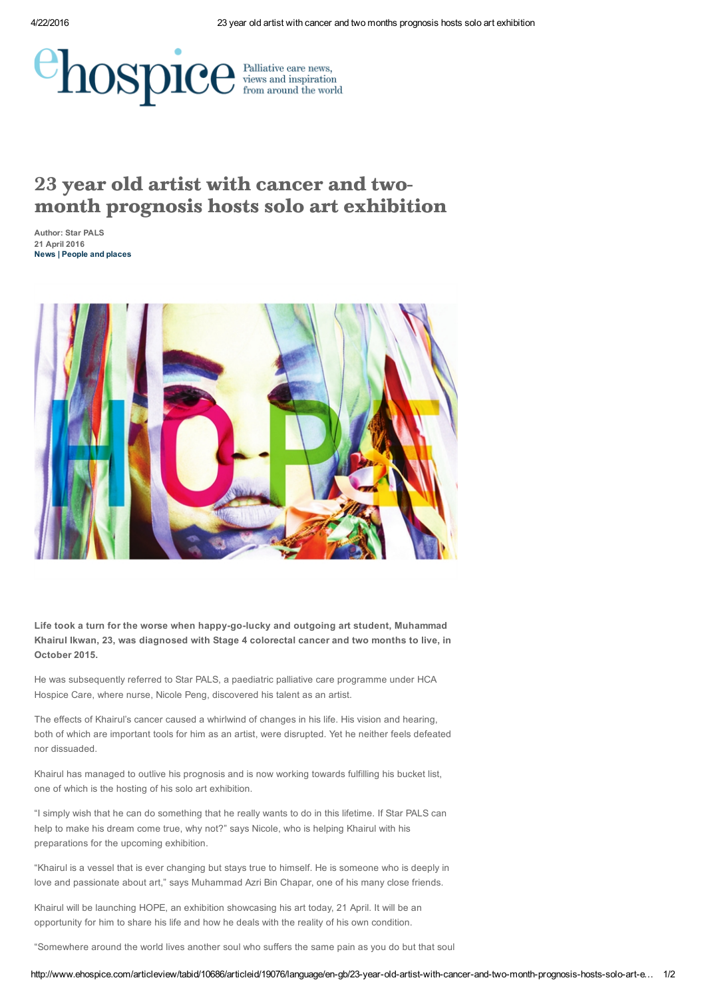

## 23 year old artist with cancer and two month prognosis hosts solo art exhibition

Author: Star PALS 21 April 2016 News | [People](http://www.ehospice.com/en-gb/categories/peopleandplaces.aspx) and places



Life took a turn for the worse when happy-go-lucky and outgoing art student, Muhammad Khairul Ikwan, 23, was diagnosed with Stage 4 colorectal cancer and two months to live, in October 2015.

He was subsequently referred to Star PALS, a paediatric palliative care programme under HCA Hospice Care, where nurse, Nicole Peng, discovered his talent as an artist.

The effects of Khairul's cancer caused a whirlwind of changes in his life. His vision and hearing, both of which are important tools for him as an artist, were disrupted. Yet he neither feels defeated nor dissuaded.

Khairul has managed to outlive his prognosis and is now working towards fulfilling his bucket list, one of which is the hosting of his solo art exhibition.

"I simply wish that he can do something that he really wants to do in this lifetime. If Star PALS can help to make his dream come true, why not?" says Nicole, who is helping Khairul with his preparations for the upcoming exhibition.

"Khairul is a vessel that is ever changing but stays true to himself. He is someone who is deeply in love and passionate about art," says Muhammad Azri Bin Chapar, one of his many close friends.

Khairul will be launching HOPE, an exhibition showcasing his art today, 21 April. It will be an opportunity for him to share his life and how he deals with the reality of his own condition.

"Somewhere around the world lives another soul who suffers the same pain as you do but that soul